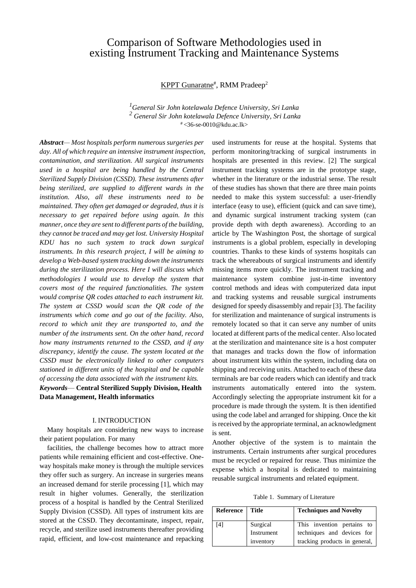# Comparison of Software Methodologies used in existing Instrument Tracking and Maintenance Systems

KPPT Gunaratne<sup>#</sup>, RMM Pradeep<sup>2</sup>

*<sup>1</sup>General Sir John kotelawala Defence University, Sri Lanka <sup>2</sup> General Sir John kotelawala Defence University, Sri Lanka*  $* < 36$ -se-0010@kdu.ac.lk>

*Abstract— Most hospitals perform numerous surgeries per day. All of which require an intensive instrument inspection, contamination, and sterilization. All surgical instruments used in a hospital are being handled by the Central Sterilized Supply Division (CSSD). These instruments after being sterilized, are supplied to different wards in the institution. Also, all these instruments need to be maintained. They often get damaged or degraded, thus it is necessary to get repaired before using again. In this manner, once they are sent to different parts of the building, they cannot be traced and may get lost. University Hospital KDU has no such system to track down surgical instruments. In this research project, I will be aiming to develop a Web-based system tracking down the instruments during the sterilization process. Here I will discuss which methodologies I would use to develop the system that covers most of the required functionalities. The system would comprise QR codes attached to each instrument kit. The system at CSSD would scan the QR code of the instruments which come and go out of the facility. Also, record to which unit they are transported to, and the number of the instruments sent. On the other hand, record how many instruments returned to the CSSD, and if any discrepancy, identify the cause. The system located at the CSSD must be electronically linked to other computers stationed in different units of the hospital and be capable of accessing the data associated with the instrument kits. Keywords*— **Central Sterilized Supply Division, Health** 

**Data Management, Health informatics**

### I. INTRODUCTION

Many hospitals are considering new ways to increase their patient population. For many

facilities, the challenge becomes how to attract more patients while remaining efficient and cost-effective. Oneway hospitals make money is through the multiple services they offer such as surgery. An increase in surgeries means an increased demand for sterile processing [1], which may result in higher volumes. Generally, the sterilization process of a hospital is handled by the Central Sterilized Supply Division (CSSD). All types of instrument kits are stored at the CSSD. They decontaminate, inspect, repair, recycle, and sterilize used instruments thereafter providing rapid, efficient, and low-cost maintenance and repacking

used instruments for reuse at the hospital. Systems that perform monitoring/tracking of surgical instruments in hospitals are presented in this review. [2] The surgical instrument tracking systems are in the prototype stage, whether in the literature or the industrial sense. The result of these studies has shown that there are three main points needed to make this system successful: a user-friendly interface (easy to use), efficient (quick and can save time), and dynamic surgical instrument tracking system (can provide depth with depth awareness). According to an article by The Washington Post, the shortage of surgical instruments is a global problem, especially in developing countries. Thanks to these kinds of systems hospitals can track the whereabouts of surgical instruments and identify missing items more quickly. The instrument tracking and maintenance system combine just-in-time inventory control methods and ideas with computerized data input and tracking systems and reusable surgical instruments designed for speedy disassembly and repair [3]. The facility for sterilization and maintenance of surgical instruments is remotely located so that it can serve any number of units located at different parts of the medical center. Also located at the sterilization and maintenance site is a host computer that manages and tracks down the flow of information about instrument kits within the system, including data on shipping and receiving units. Attached to each of these data terminals are bar code readers which can identify and track instruments automatically entered into the system. Accordingly selecting the appropriate instrument kit for a procedure is made through the system. It is then identified using the code label and arranged for shipping. Once the kit is received by the appropriate terminal, an acknowledgment is sent.

Another objective of the system is to maintain the instruments. Certain instruments after surgical procedures must be recycled or repaired for reuse. Thus minimize the expense which a hospital is dedicated to maintaining reusable surgical instruments and related equipment.

Table 1. Summary of Literature

| Reference | Title      | <b>Techniques and Novelty</b> |
|-----------|------------|-------------------------------|
| [4]       | Surgical   | This invention pertains to    |
|           | Instrument | techniques and devices for    |
|           | inventory  | tracking products in general, |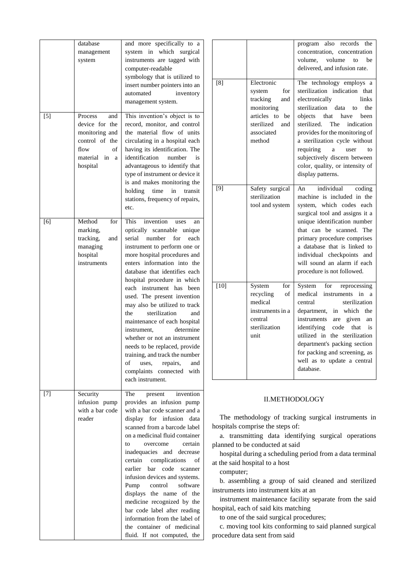|       | database<br>management<br>system                                                                                   | and more specifically to<br>a<br>in which surgical<br>system<br>instruments are tagged with<br>computer-readable<br>symbology that is utilized to<br>insert number pointers into an<br>automated<br>inventory<br>management system.                                                                                                                                                                                                                                                                                                                                                                                                                             |
|-------|--------------------------------------------------------------------------------------------------------------------|-----------------------------------------------------------------------------------------------------------------------------------------------------------------------------------------------------------------------------------------------------------------------------------------------------------------------------------------------------------------------------------------------------------------------------------------------------------------------------------------------------------------------------------------------------------------------------------------------------------------------------------------------------------------|
| $[5]$ | Process<br>and<br>device for the<br>monitoring and<br>control of the<br>of<br>flow<br>material in<br>a<br>hospital | This invention's object is to<br>record, monitor, and control<br>the material flow of units<br>circulating in a hospital each<br>having its identification. The<br>identification<br>number<br>is<br>advantageous to identify that<br>type of instrument or device it<br>is and makes monitoring the<br>holding<br>time<br>transit<br>in<br>stations, frequency of repairs,<br>etc.                                                                                                                                                                                                                                                                             |
| [6]   | Method<br>for<br>marking,<br>tracking,<br>and<br>managing<br>hospital<br>instruments                               | <b>This</b><br>invention<br>uses<br>an<br>optically<br>scannable<br>unique<br>serial<br>number<br>for<br>each<br>instrument to perform one or<br>more hospital procedures and<br>enters information into the<br>database that identifies each<br>hospital procedure in which<br>each instrument has been<br>used. The present invention<br>may also be utilized to track<br>sterilization<br>the<br>and<br>maintenance of each hospital<br>determine<br>instrument.<br>whether or not an instrument<br>needs to be replaced, provide<br>training, and track the number<br>of<br>repairs,<br>and<br>uses.<br>complaints<br>connected<br>with<br>each instrument. |
| $[7]$ | Security<br>infusion pump<br>with a bar code<br>reader                                                             | The<br>invention<br>present<br>provides an infusion pump<br>with a bar code scanner and a<br>display for infusion<br>data<br>scanned from a barcode label<br>on a medicinal fluid container<br>certain<br>overcome<br>tο<br>inadequacies and<br>decrease<br>complications<br>certain<br>of<br>earlier<br>bar<br>code<br>scanner<br>infusion devices and systems.<br>software<br>Pump<br>control<br>displays the name<br>of the<br>medicine recognized by the<br>bar code label after reading<br>information from the label of<br>the container of medicinal<br>fluid. If not computed, the                                                                      |

| [8]    | Electronic<br>for<br>system                                                                         | also<br>records<br>program<br>the<br>concentration, concentration<br>volume,<br>volume<br>to<br>be<br>delivered, and infusion rate.<br>The technology employs<br>a<br>sterilization indication<br>that                                                                                                                                                |
|--------|-----------------------------------------------------------------------------------------------------|-------------------------------------------------------------------------------------------------------------------------------------------------------------------------------------------------------------------------------------------------------------------------------------------------------------------------------------------------------|
|        | tracking<br>and<br>monitoring<br>articles to<br>be<br>sterilized<br>and<br>associated<br>method     | electronically<br>links<br>sterilization<br>data<br>to<br>the<br>that<br>objects<br>have<br>been<br>sterilized.<br>The<br>indication<br>provides for the monitoring of<br>a sterilization cycle without<br>requiring<br>to<br>a<br>user<br>subjectively discern between<br>color, quality, or intensity of<br>display patterns.                       |
| [9]    | Safety surgical<br>sterilization<br>tool and system                                                 | individual<br>An<br>coding<br>machine is included in the<br>system, which codes each<br>surgical tool and assigns it a<br>unique identification number<br>that can<br>be scanned.<br>The<br>primary procedure comprises<br>a database that is linked to<br>individual checkpoints and<br>will sound an alarm if each<br>procedure is not followed.    |
| $[10]$ | System<br>for<br>recycling<br>of<br>medical<br>instruments in a<br>central<br>sterilization<br>unit | System<br>for<br>reprocessing<br>medical<br>instruments<br>in<br>a<br>sterilization<br>central<br>department,<br>in which the<br>instruments<br>given<br>are<br>an<br>identifying<br>code<br>that<br>is<br>utilized in the sterilization<br>department's packing section<br>for packing and screening, as<br>well as to update a central<br>database. |

# II.METHODOLOGY

The methodology of tracking surgical instruments in hospitals comprise the steps of:

a. transmitting data identifying surgical operations planned to be conducted at said

hospital during a scheduling period from a data terminal at the said hospital to a host

computer;

b. assembling a group of said cleaned and sterilized instruments into instrument kits at an

instrument maintenance facility separate from the said hospital, each of said kits matching

to one of the said surgical procedures;

c. moving tool kits conforming to said planned surgical procedure data sent from said